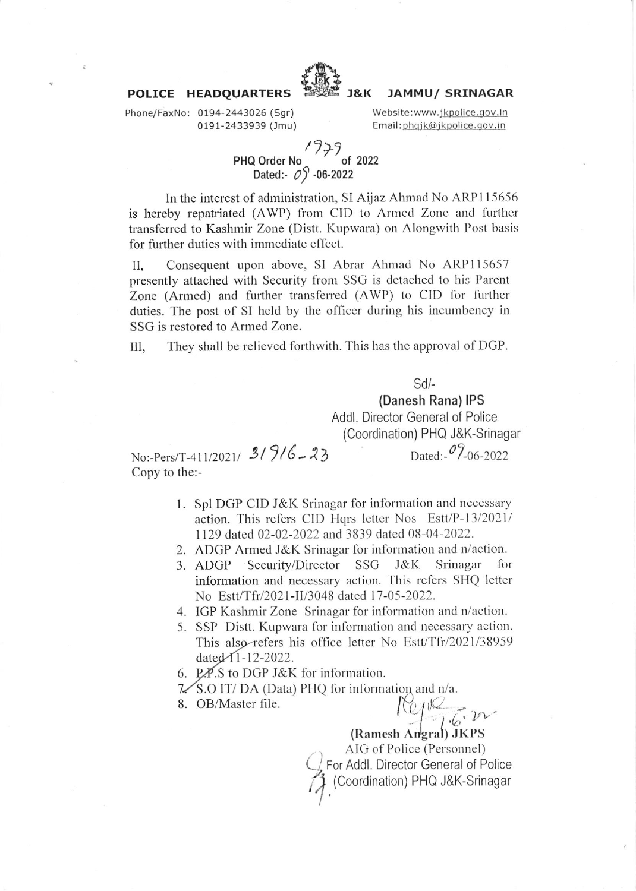

#### **JAMMU/ SRINAGAR J&K** Website:www.jkpolice.gov.in

Email:phgjk@jkpolice.gov.in

Phone/FaxNo: 0194-2443026 (Sgr) 0191-2433939 (Jmu)

POLICE HEADQUARTERS

# PHQ Order No<br>Dated:-  $0$  -06-2022<br>Dated:-  $0$  -06-2022

In the interest of administration, SI Aijaz Ahmad No ARP115656 is hereby repatriated (AWP) from CID to Armed Zone and further transferred to Kashmir Zone (Distt. Kupwara) on Alongwith Post basis for further duties with immediate effect.

II. Consequent upon above, SI Abrar Ahmad No ARP115657 presently attached with Security from SSG is detached to his Parent Zone (Armed) and further transferred (AWP) to CID for further duties. The post of SI held by the officer during his incumbency in SSG is restored to Armed Zone.

They shall be relieved forthwith. This has the approval of DGP. III.

 $Sd$ -

(Danesh Rana) IPS

Addl. Director General of Police (Coordination) PHQ J&K-Srinagar

Dated:- $0\frac{206-2022}{200}$ 

No:-Pers/T-411/2021/ 3/9/6-23 Copy to the:-

- 1. Spl DGP CID J&K Srinagar for information and necessary action. This refers CID Hqrs letter Nos Estt/P-13/2021/ 1129 dated 02-02-2022 and 3839 dated 08-04-2022.
- 2. ADGP Armed J&K Srinagar for information and n/action.
- 3. ADGP Security/Director SSG J&K Srinagar for information and necessary action. This refers SHQ letter No Estt/Tfr/2021-II/3048 dated 17-05-2022.
- 4. IGP Kashmir Zone Srinagar for information and n/action.
- 5. SSP Distt. Kupwara for information and necessary action. This also refers his office letter No Estt/Tfr/2021/38959 dated 1-12-2022.
- 6. P.P.S to DGP J&K for information.
- 7/S.O IT/DA (Data) PHQ for information and n/a.

8. OB/Master file.

Report 22

(Ramesh Angral) JKPS AIG of Police (Personnel) For Addl. Director General of Police (Coordination) PHQ J&K-Srinagar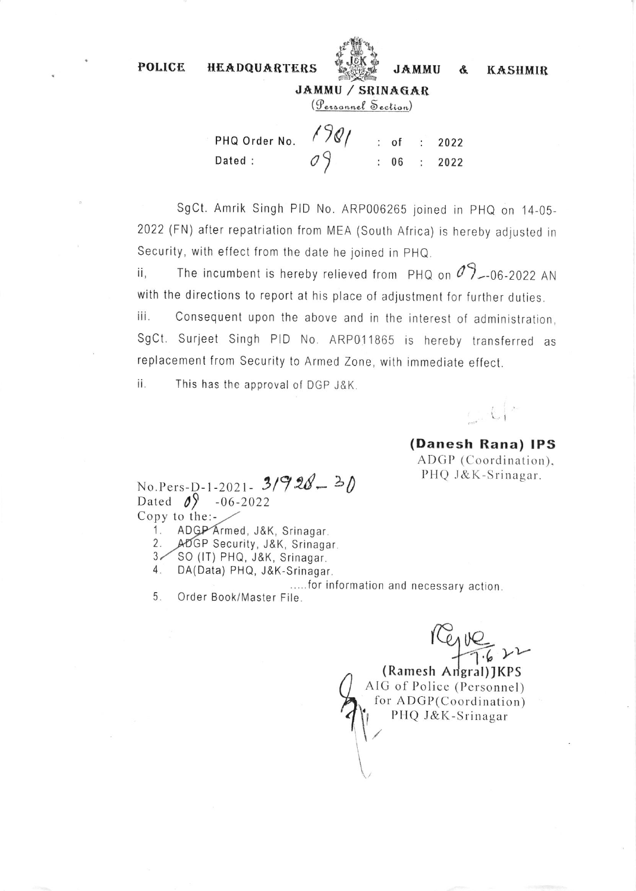**POLICE** 



**JAMMU** 

&

**KASHMIR** 

JAMMU / SRINAGAR (Personnel Section)

 $1981$ PHQ Order No.  $:$  of 2022 Dated:  $: 06$ 2022  $\ddot{\cdot}$ 

SgCt. Amrik Singh PID No. ARP006265 joined in PHQ on 14-05-2022 (FN) after repatriation from MEA (South Africa) is hereby adjusted in Security, with effect from the date he joined in PHQ.

The incumbent is hereby relieved from PHQ on  $\mathcal{O}_{2-06-2022}$  AN ii. with the directions to report at his place of adjustment for further duties.

iii. Consequent upon the above and in the interest of administration, SgCt. Surjeet Singh PID No. ARP011865 is hereby transferred as replacement from Security to Armed Zone, with immediate effect.

This has the approval of DGP J&K. ii.

**HEADQUARTERS** 

## (Danesh Rana) IPS ADGP (Coordination). PHQ J&K-Srinagar.

No.Pers-D-1-2021-  $3/928 - 30$ Dated  $\mathcal{O}$  -06-2022 Copy to the:-

- ADGP Armed, J&K, Srinagar. 1.
- ADGP Security, J&K, Srinagar. 2.

SO (IT) PHQ, J&K, Srinagar.  $3<$ 

 $4.$ DA(Data) PHQ, J&K-Srinagar,

.....for information and necessary action.

5. Order Book/Master File.

(Ramesh Angral) JKPS AIG of Police (Personnel) for ADGP(Coordination) PHQ J&K-Srinagar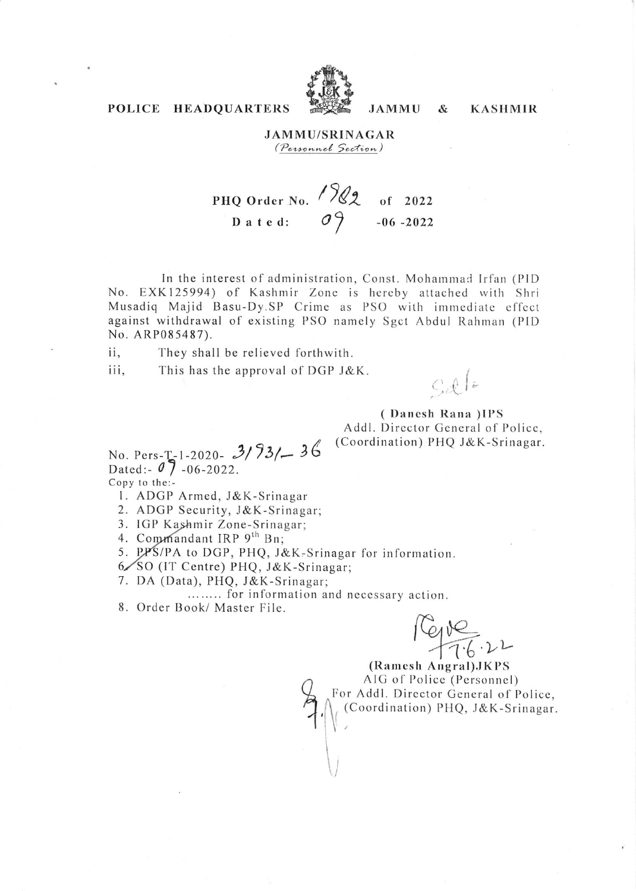

### POLICE HEADQUARTERS

### **JAMMU/SRINAGAR** *(Personnel Section)*

**JAMMU** 

 $\mathcal{S}_{\mathcal{L}}$ 

**KASHMIR** 

PHQ Order No.  $\sqrt{22}$  of 2022<br>Dated:  $\sigma$  -06-2022

In the interest of administration, Const. Mohammad Irfan (PID No. EXK125994) of Kashmir Zone is hereby attached with Shri Musadiq Majid Basu-Dy.SP Crime as PSO with immediate effect against withdrawal of existing PSO namely Sgct Abdul Rahman (PID No. ARP085487).

ii. They shall be relieved forthwith.

iii, This has the approval of DGP J&K.

 $C_d$   $\ell$ 

(Danesh Rana)IPS Addl. Director General of Police, (Coordination) PHQ J&K-Srinagar.

No. Pers- $T-1-2020 - 3/93/ - 36$ Dated:  $07 - 06 - 2022$ . Copy to the:-

- 1. ADGP Armed, J&K-Srinagar
- 2. ADGP Security, J&K-Srinagar;
- 3. IGP Kashmir Zone-Srinagar;
- 4. Commandant IRP 9th Bn;

5. PPS/PA to DGP, PHQ, J&K-Srinagar for information.

- 6/SO (IT Centre) PHQ, J&K-Srinagar:
- 7. DA (Data), PHQ, J&K-Srinagar;

........ for information and necessary action.

8. Order Book/ Master File.

 $C_{900}$ 

(Ramesh Angral) JKPS AIG of Police (Personnel) For Addl. Director General of Police, (Coordination) PHQ, J&K-Srinagar.